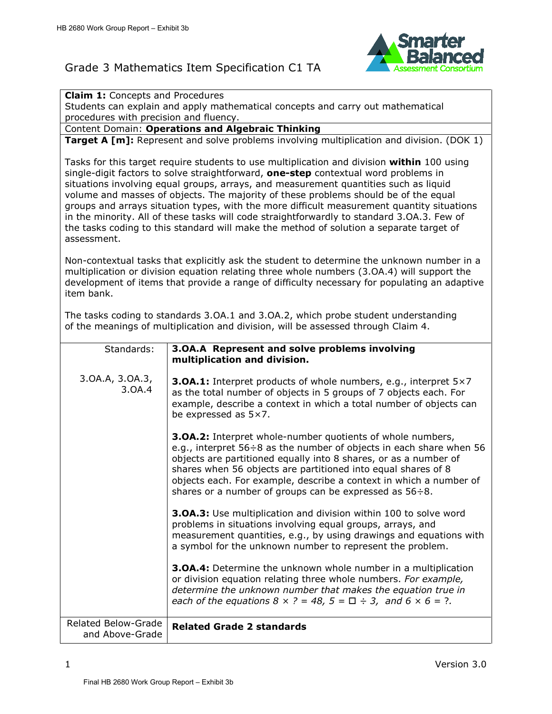## Grade 3 Mathematics Item Specification C1 TA



**Claim 1:** Concepts and Procedures

 Students can explain and apply mathematical concepts and carry out mathematical procedures with precision and fluency.

### Content Domain: **Operations and Algebraic Thinking**

 **Target A [m]:** Represent and solve problems involving multiplication and division. (DOK 1)

 Tasks for this target require students to use multiplication and division **within** 100 using single-digit factors to solve straightforward, **one-step** contextual word problems in situations involving equal groups, arrays, and measurement quantities such as liquid volume and masses of objects. The majority of these problems should be of the equal groups and arrays situation types, with the more difficult measurement quantity situations in the minority. All of these tasks will code straightforwardly to standard 3.OA.3. Few of the tasks coding to this standard will make the method of solution a separate target of assessment.

 Non-contextual tasks that explicitly ask the student to determine the unknown number in a multiplication or division equation relating three whole numbers (3.OA.4) will support the development of items that provide a range of difficulty necessary for populating an adaptive item bank.

 The tasks coding to standards 3.OA.1 and 3.OA.2, which probe student understanding of the meanings of multiplication and division, will be assessed through Claim 4.

| Standards:                             | 3.0A.A Represent and solve problems involving<br>multiplication and division.                                                                                                                                                                                                                                                                                                                                               |
|----------------------------------------|-----------------------------------------------------------------------------------------------------------------------------------------------------------------------------------------------------------------------------------------------------------------------------------------------------------------------------------------------------------------------------------------------------------------------------|
| 3.0A.A, 3.0A.3,<br>3.0A.4              | <b>3.0A.1:</b> Interpret products of whole numbers, e.g., interpret 5×7<br>as the total number of objects in 5 groups of 7 objects each. For<br>example, describe a context in which a total number of objects can<br>be expressed as $5 \times 7$ .                                                                                                                                                                        |
|                                        | <b>3.OA.2:</b> Interpret whole-number quotients of whole numbers,<br>e.g., interpret $56\div 8$ as the number of objects in each share when 56<br>objects are partitioned equally into 8 shares, or as a number of<br>shares when 56 objects are partitioned into equal shares of 8<br>objects each. For example, describe a context in which a number of<br>shares or a number of groups can be expressed as $56 \div 8$ . |
|                                        | <b>3.0A.3:</b> Use multiplication and division within 100 to solve word<br>problems in situations involving equal groups, arrays, and<br>measurement quantities, e.g., by using drawings and equations with<br>a symbol for the unknown number to represent the problem.                                                                                                                                                    |
|                                        | <b>3.0A.4:</b> Determine the unknown whole number in a multiplication<br>or division equation relating three whole numbers. For example,<br>determine the unknown number that makes the equation true in<br>each of the equations $8 \times ? = 48$ , $5 = \Box \div 3$ , and $6 \times 6 = ?$ .                                                                                                                            |
| Related Below-Grade<br>and Above-Grade | <b>Related Grade 2 standards</b>                                                                                                                                                                                                                                                                                                                                                                                            |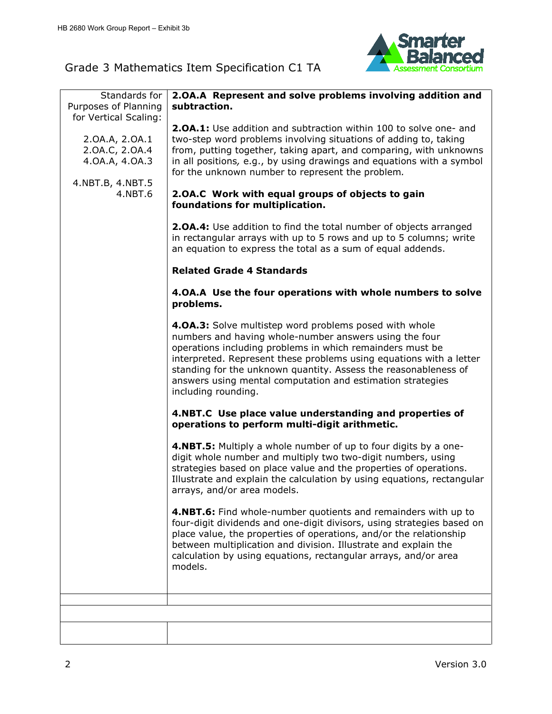

### Grade 3 Mathematics Item Specification C1 TA

| Standards for         | 2.0A.A Represent and solve problems involving addition and               |  |  |
|-----------------------|--------------------------------------------------------------------------|--|--|
| Purposes of Planning  | subtraction.                                                             |  |  |
| for Vertical Scaling: |                                                                          |  |  |
|                       | <b>2.OA.1:</b> Use addition and subtraction within 100 to solve one- and |  |  |
| 2.0A.A, 2.0A.1        | two-step word problems involving situations of adding to, taking         |  |  |
| 2.0A.C, 2.0A.4        | from, putting together, taking apart, and comparing, with unknowns       |  |  |
| 4.0A.A, 4.0A.3        | in all positions, e.g., by using drawings and equations with a symbol    |  |  |
|                       | for the unknown number to represent the problem.                         |  |  |
| 4.NBT.B, 4.NBT.5      |                                                                          |  |  |
| 4.NBT.6               | 2.0A.C Work with equal groups of objects to gain                         |  |  |
|                       | foundations for multiplication.                                          |  |  |
|                       |                                                                          |  |  |
|                       | <b>2.0A.4:</b> Use addition to find the total number of objects arranged |  |  |
|                       | in rectangular arrays with up to 5 rows and up to 5 columns; write       |  |  |
|                       | an equation to express the total as a sum of equal addends.              |  |  |
|                       |                                                                          |  |  |
|                       | <b>Related Grade 4 Standards</b>                                         |  |  |
|                       | 4.0A.A Use the four operations with whole numbers to solve               |  |  |
|                       | problems.                                                                |  |  |
|                       |                                                                          |  |  |
|                       | 4.0A.3: Solve multistep word problems posed with whole                   |  |  |
|                       | numbers and having whole-number answers using the four                   |  |  |
|                       | operations including problems in which remainders must be                |  |  |
|                       | interpreted. Represent these problems using equations with a letter      |  |  |
|                       | standing for the unknown quantity. Assess the reasonableness of          |  |  |
|                       | answers using mental computation and estimation strategies               |  |  |
|                       | including rounding.                                                      |  |  |
|                       |                                                                          |  |  |
|                       | 4.NBT.C Use place value understanding and properties of                  |  |  |
|                       | operations to perform multi-digit arithmetic.                            |  |  |
|                       |                                                                          |  |  |
|                       | 4.NBT.5: Multiply a whole number of up to four digits by a one-          |  |  |
|                       | digit whole number and multiply two two-digit numbers, using             |  |  |
|                       | strategies based on place value and the properties of operations.        |  |  |
|                       | Illustrate and explain the calculation by using equations, rectangular   |  |  |
|                       | arrays, and/or area models.                                              |  |  |
|                       | 4.NBT.6: Find whole-number quotients and remainders with up to           |  |  |
|                       | four-digit dividends and one-digit divisors, using strategies based on   |  |  |
|                       | place value, the properties of operations, and/or the relationship       |  |  |
|                       | between multiplication and division. Illustrate and explain the          |  |  |
|                       | calculation by using equations, rectangular arrays, and/or area          |  |  |
|                       | models.                                                                  |  |  |
|                       |                                                                          |  |  |
|                       |                                                                          |  |  |
|                       |                                                                          |  |  |
|                       |                                                                          |  |  |
|                       |                                                                          |  |  |